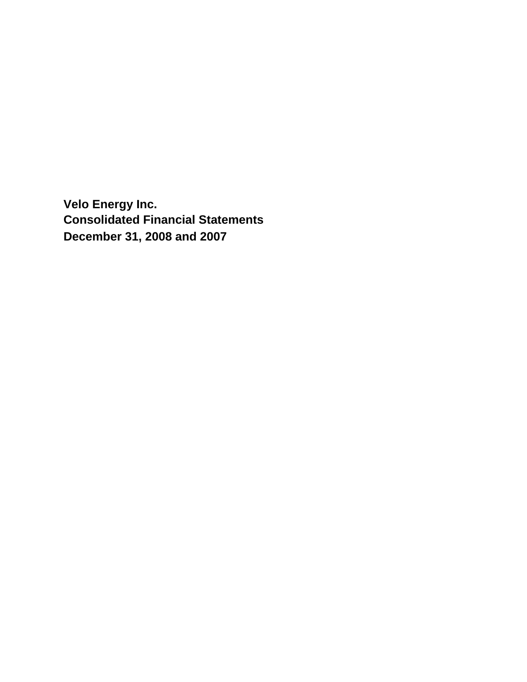**Velo Energy Inc. Consolidated Financial Statements December 31, 2008 and 2007**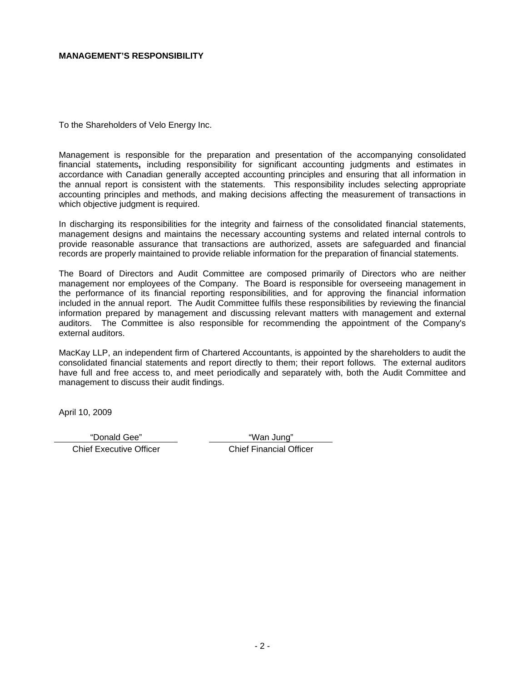#### **MANAGEMENT'S RESPONSIBILITY**

To the Shareholders of Velo Energy Inc.

Management is responsible for the preparation and presentation of the accompanying consolidated financial statements**,** including responsibility for significant accounting judgments and estimates in accordance with Canadian generally accepted accounting principles and ensuring that all information in the annual report is consistent with the statements. This responsibility includes selecting appropriate accounting principles and methods, and making decisions affecting the measurement of transactions in which objective judgment is required.

In discharging its responsibilities for the integrity and fairness of the consolidated financial statements, management designs and maintains the necessary accounting systems and related internal controls to provide reasonable assurance that transactions are authorized, assets are safeguarded and financial records are properly maintained to provide reliable information for the preparation of financial statements.

The Board of Directors and Audit Committee are composed primarily of Directors who are neither management nor employees of the Company. The Board is responsible for overseeing management in the performance of its financial reporting responsibilities, and for approving the financial information included in the annual report. The Audit Committee fulfils these responsibilities by reviewing the financial information prepared by management and discussing relevant matters with management and external auditors. The Committee is also responsible for recommending the appointment of the Company's external auditors.

MacKay LLP, an independent firm of Chartered Accountants, is appointed by the shareholders to audit the consolidated financial statements and report directly to them; their report follows. The external auditors have full and free access to, and meet periodically and separately with, both the Audit Committee and management to discuss their audit findings.

April 10, 2009

"Donald Gee" "Wan Jung"

Chief Executive Officer Chief Financial Officer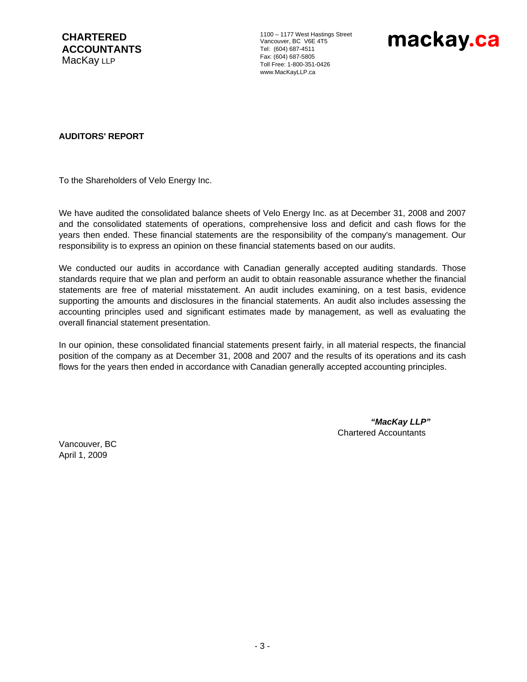**CHARTERED ACCOUNTANTS**  MacKay LLP

1100 – 1177 West Hastings Street Vancouver, BC V6E 4T5 Tel: (604) 687-4511 Fax: (604) 687-5805 Toll Free: 1-800-351-0426 www.MacKayLLP.ca



#### **AUDITORS' REPORT**

To the Shareholders of Velo Energy Inc.

We have audited the consolidated balance sheets of Velo Energy Inc. as at December 31, 2008 and 2007 and the consolidated statements of operations, comprehensive loss and deficit and cash flows for the years then ended. These financial statements are the responsibility of the company's management. Our responsibility is to express an opinion on these financial statements based on our audits.

We conducted our audits in accordance with Canadian generally accepted auditing standards. Those standards require that we plan and perform an audit to obtain reasonable assurance whether the financial statements are free of material misstatement. An audit includes examining, on a test basis, evidence supporting the amounts and disclosures in the financial statements. An audit also includes assessing the accounting principles used and significant estimates made by management, as well as evaluating the overall financial statement presentation.

In our opinion, these consolidated financial statements present fairly, in all material respects, the financial position of the company as at December 31, 2008 and 2007 and the results of its operations and its cash flows for the years then ended in accordance with Canadian generally accepted accounting principles.

> *"MacKay LLP"*  Chartered Accountants

Vancouver, BC April 1, 2009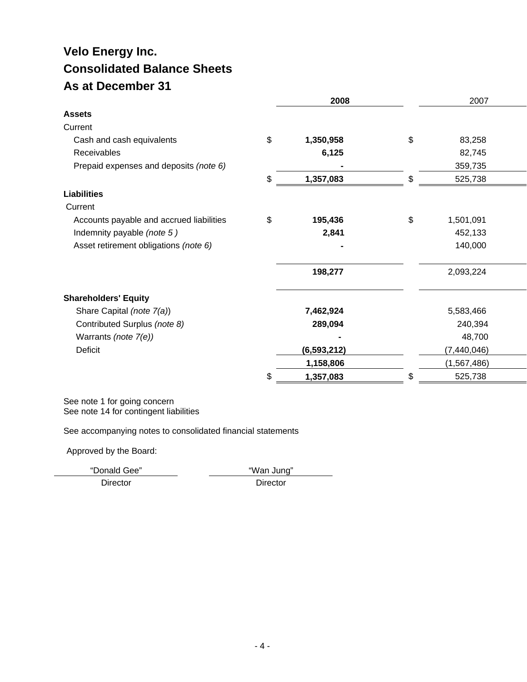# **Velo Energy Inc. Consolidated Balance Sheets As at December 31**

|                                          | 2008            | 2007            |  |
|------------------------------------------|-----------------|-----------------|--|
| <b>Assets</b>                            |                 |                 |  |
| Current                                  |                 |                 |  |
| Cash and cash equivalents                | \$<br>1,350,958 | \$<br>83,258    |  |
| Receivables                              | 6,125           | 82,745          |  |
| Prepaid expenses and deposits (note 6)   |                 | 359,735         |  |
|                                          | \$<br>1,357,083 | \$<br>525,738   |  |
| <b>Liabilities</b>                       |                 |                 |  |
| Current                                  |                 |                 |  |
| Accounts payable and accrued liabilities | \$<br>195,436   | \$<br>1,501,091 |  |
| Indemnity payable (note 5)               | 2,841           | 452,133         |  |
| Asset retirement obligations (note 6)    |                 | 140,000         |  |
|                                          | 198,277         | 2,093,224       |  |
| <b>Shareholders' Equity</b>              |                 |                 |  |
| Share Capital (note 7(a))                | 7,462,924       | 5,583,466       |  |
| Contributed Surplus (note 8)             | 289,094         | 240,394         |  |
| Warrants (note 7(e))                     |                 | 48,700          |  |
| <b>Deficit</b>                           | (6, 593, 212)   | (7, 440, 046)   |  |
|                                          | 1,158,806       | (1, 567, 486)   |  |
|                                          | \$<br>1,357,083 | \$<br>525,738   |  |

See note 1 for going concern See note 14 for contingent liabilities

See accompanying notes to consolidated financial statements

Approved by the Board:

"Donald Gee" "Wan Jung"

Director Director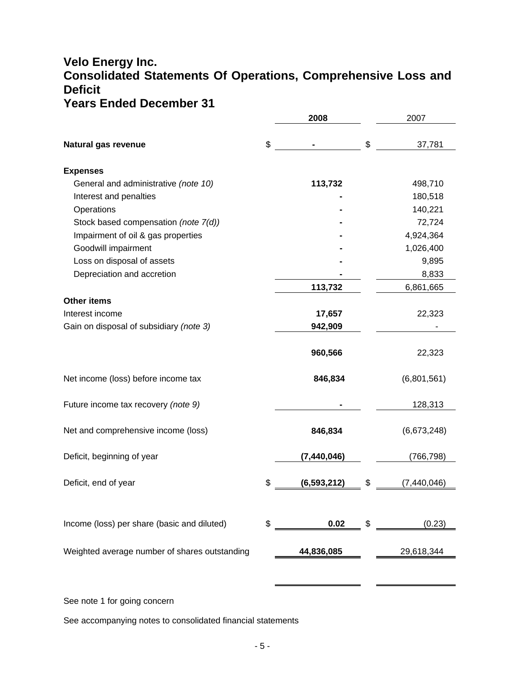# **Velo Energy Inc. Consolidated Statements Of Operations, Comprehensive Loss and Deficit Years Ended December 31**

|                                               | 2008                | 2007              |
|-----------------------------------------------|---------------------|-------------------|
| Natural gas revenue                           | \$                  | \$<br>37,781      |
| <b>Expenses</b>                               |                     |                   |
| General and administrative (note 10)          | 113,732             | 498,710           |
| Interest and penalties                        |                     | 180,518           |
| Operations                                    |                     | 140,221           |
| Stock based compensation (note 7(d))          |                     | 72,724            |
| Impairment of oil & gas properties            |                     | 4,924,364         |
| Goodwill impairment                           |                     | 1,026,400         |
| Loss on disposal of assets                    |                     | 9,895             |
| Depreciation and accretion                    |                     | 8,833             |
|                                               | 113,732             | 6,861,665         |
| <b>Other items</b>                            |                     |                   |
| Interest income                               | 17,657              | 22,323            |
| Gain on disposal of subsidiary (note 3)       | 942,909             |                   |
|                                               | 960,566             | 22,323            |
| Net income (loss) before income tax           | 846,834             | (6,801,561)       |
| Future income tax recovery (note 9)           |                     | 128,313           |
| Net and comprehensive income (loss)           | 846,834             | (6,673,248)       |
| Deficit, beginning of year                    | (7, 440, 046)       | (766,798)         |
| Deficit, end of year                          | \$<br>(6, 593, 212) | \$<br>(7,440,046) |
|                                               |                     |                   |
| Income (loss) per share (basic and diluted)   | \$<br>0.02          | \$<br>(0.23)      |
| Weighted average number of shares outstanding | 44,836,085          | 29,618,344        |
|                                               |                     |                   |

See note 1 for going concern

See accompanying notes to consolidated financial statements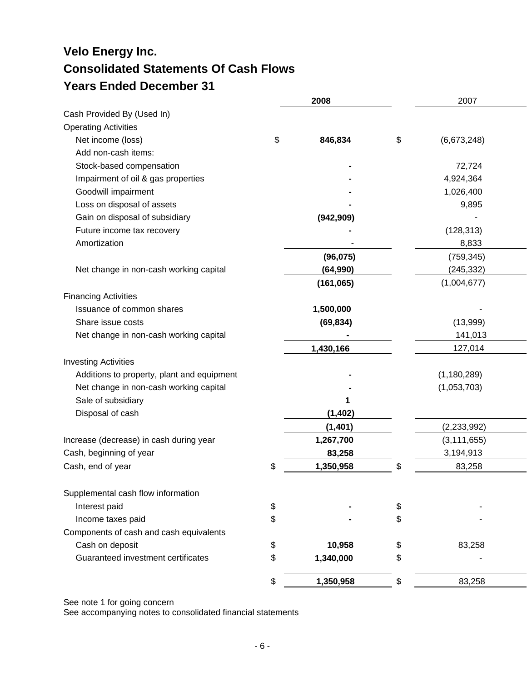# **Velo Energy Inc. Consolidated Statements Of Cash Flows Years Ended December 31**

|                                            | 2008            | 2007              |  |
|--------------------------------------------|-----------------|-------------------|--|
| Cash Provided By (Used In)                 |                 |                   |  |
| <b>Operating Activities</b>                |                 |                   |  |
| Net income (loss)                          | \$<br>846,834   | \$<br>(6,673,248) |  |
| Add non-cash items:                        |                 |                   |  |
| Stock-based compensation                   |                 | 72,724            |  |
| Impairment of oil & gas properties         |                 | 4,924,364         |  |
| Goodwill impairment                        |                 | 1,026,400         |  |
| Loss on disposal of assets                 |                 | 9,895             |  |
| Gain on disposal of subsidiary             | (942, 909)      |                   |  |
| Future income tax recovery                 |                 | (128, 313)        |  |
| Amortization                               |                 | 8,833             |  |
|                                            | (96, 075)       | (759, 345)        |  |
| Net change in non-cash working capital     | (64, 990)       | (245, 332)        |  |
|                                            | (161, 065)      | (1,004,677)       |  |
| <b>Financing Activities</b>                |                 |                   |  |
| Issuance of common shares                  | 1,500,000       |                   |  |
| Share issue costs                          | (69, 834)       | (13,999)          |  |
| Net change in non-cash working capital     |                 | 141,013           |  |
|                                            | 1,430,166       | 127,014           |  |
| <b>Investing Activities</b>                |                 |                   |  |
| Additions to property, plant and equipment |                 | (1, 180, 289)     |  |
| Net change in non-cash working capital     |                 | (1,053,703)       |  |
| Sale of subsidiary                         |                 |                   |  |
| Disposal of cash                           | (1, 402)        |                   |  |
|                                            | (1, 401)        | (2, 233, 992)     |  |
| Increase (decrease) in cash during year    | 1,267,700       | (3, 111, 655)     |  |
| Cash, beginning of year                    | 83,258          | 3,194,913         |  |
| Cash, end of year                          | \$<br>1,350,958 | \$<br>83,258      |  |
| Supplemental cash flow information         |                 |                   |  |
| Interest paid                              | \$              | \$                |  |
| Income taxes paid                          | \$              | \$                |  |
| Components of cash and cash equivalents    |                 |                   |  |
| Cash on deposit                            | \$<br>10,958    | \$<br>83,258      |  |
| Guaranteed investment certificates         | \$<br>1,340,000 | \$                |  |
|                                            | \$<br>1,350,958 | \$<br>83,258      |  |

See note 1 for going concern

See accompanying notes to consolidated financial statements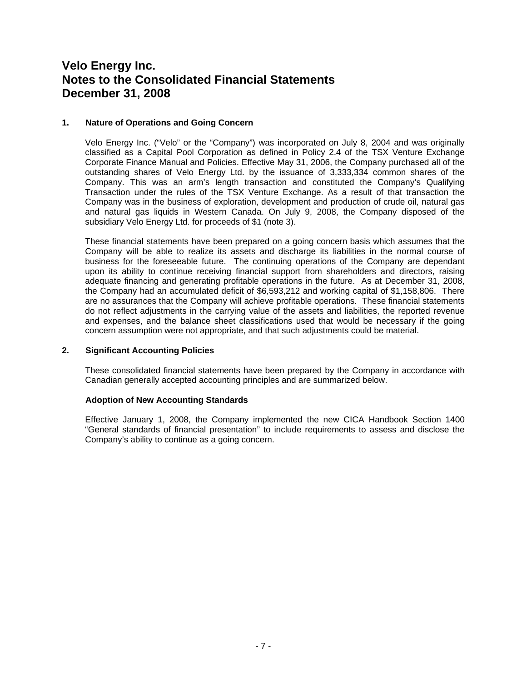#### **1. Nature of Operations and Going Concern**

Velo Energy Inc. ("Velo" or the "Company") was incorporated on July 8, 2004 and was originally classified as a Capital Pool Corporation as defined in Policy 2.4 of the TSX Venture Exchange Corporate Finance Manual and Policies. Effective May 31, 2006, the Company purchased all of the outstanding shares of Velo Energy Ltd. by the issuance of 3,333,334 common shares of the Company. This was an arm's length transaction and constituted the Company's Qualifying Transaction under the rules of the TSX Venture Exchange. As a result of that transaction the Company was in the business of exploration, development and production of crude oil, natural gas and natural gas liquids in Western Canada. On July 9, 2008, the Company disposed of the subsidiary Velo Energy Ltd. for proceeds of \$1 (note 3).

These financial statements have been prepared on a going concern basis which assumes that the Company will be able to realize its assets and discharge its liabilities in the normal course of business for the foreseeable future. The continuing operations of the Company are dependant upon its ability to continue receiving financial support from shareholders and directors, raising adequate financing and generating profitable operations in the future. As at December 31, 2008, the Company had an accumulated deficit of \$6,593,212 and working capital of \$1,158,806. There are no assurances that the Company will achieve profitable operations. These financial statements do not reflect adjustments in the carrying value of the assets and liabilities, the reported revenue and expenses, and the balance sheet classifications used that would be necessary if the going concern assumption were not appropriate, and that such adjustments could be material.

#### **2. Significant Accounting Policies**

 These consolidated financial statements have been prepared by the Company in accordance with Canadian generally accepted accounting principles and are summarized below.

### **Adoption of New Accounting Standards**

Effective January 1, 2008, the Company implemented the new CICA Handbook Section 1400 "General standards of financial presentation" to include requirements to assess and disclose the Company's ability to continue as a going concern.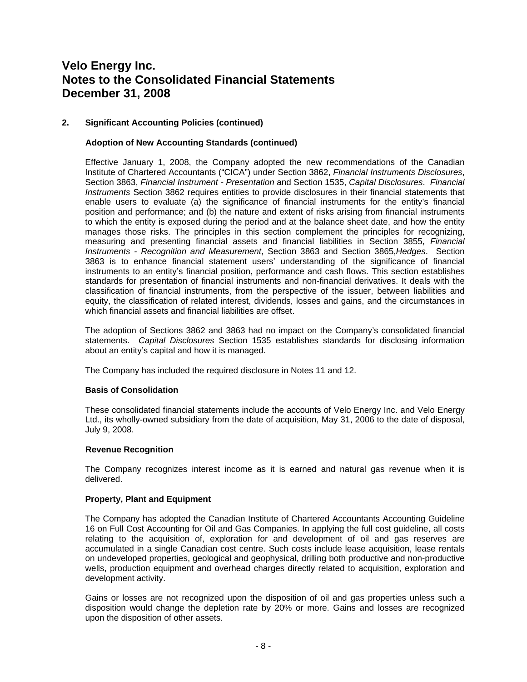### **2. Significant Accounting Policies (continued)**

### **Adoption of New Accounting Standards (continued)**

Effective January 1, 2008, the Company adopted the new recommendations of the Canadian Institute of Chartered Accountants ("CICA") under Section 3862, *Financial Instruments Disclosures*, Section 3863, *Financial Instrument - Presentation* and Section 1535, *Capital Disclosures*. *Financial Instruments* Section 3862 requires entities to provide disclosures in their financial statements that enable users to evaluate (a) the significance of financial instruments for the entity's financial position and performance; and (b) the nature and extent of risks arising from financial instruments to which the entity is exposed during the period and at the balance sheet date, and how the entity manages those risks. The principles in this section complement the principles for recognizing, measuring and presenting financial assets and financial liabilities in Section 3855, *Financial Instruments - Recognition and Measurement*, Section 3863 and Section 3865,*Hedges*. Section 3863 is to enhance financial statement users' understanding of the significance of financial instruments to an entity's financial position, performance and cash flows. This section establishes standards for presentation of financial instruments and non-financial derivatives. It deals with the classification of financial instruments, from the perspective of the issuer, between liabilities and equity, the classification of related interest, dividends, losses and gains, and the circumstances in which financial assets and financial liabilities are offset.

The adoption of Sections 3862 and 3863 had no impact on the Company's consolidated financial statements. *Capital Disclosures* Section 1535 establishes standards for disclosing information about an entity's capital and how it is managed.

The Company has included the required disclosure in Notes 11 and 12.

### **Basis of Consolidation**

These consolidated financial statements include the accounts of Velo Energy Inc. and Velo Energy Ltd., its wholly-owned subsidiary from the date of acquisition, May 31, 2006 to the date of disposal, July 9, 2008.

### **Revenue Recognition**

The Company recognizes interest income as it is earned and natural gas revenue when it is delivered.

#### **Property, Plant and Equipment**

The Company has adopted the Canadian Institute of Chartered Accountants Accounting Guideline 16 on Full Cost Accounting for Oil and Gas Companies. In applying the full cost guideline, all costs relating to the acquisition of, exploration for and development of oil and gas reserves are accumulated in a single Canadian cost centre. Such costs include lease acquisition, lease rentals on undeveloped properties, geological and geophysical, drilling both productive and non-productive wells, production equipment and overhead charges directly related to acquisition, exploration and development activity.

Gains or losses are not recognized upon the disposition of oil and gas properties unless such a disposition would change the depletion rate by 20% or more. Gains and losses are recognized upon the disposition of other assets.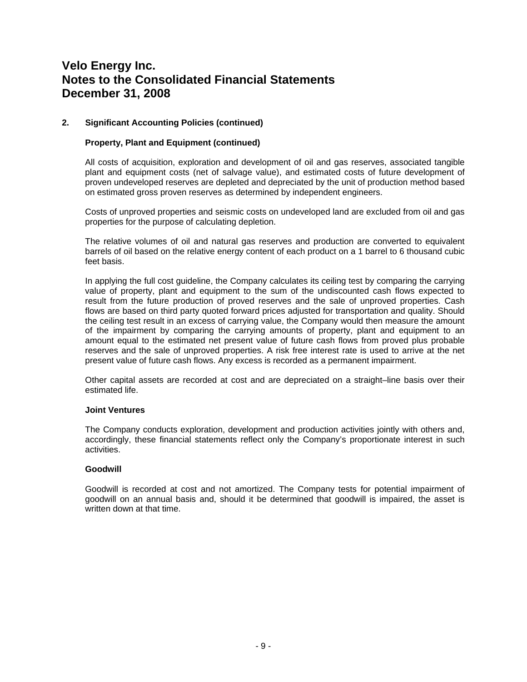### **2. Significant Accounting Policies (continued)**

#### **Property, Plant and Equipment (continued)**

All costs of acquisition, exploration and development of oil and gas reserves, associated tangible plant and equipment costs (net of salvage value), and estimated costs of future development of proven undeveloped reserves are depleted and depreciated by the unit of production method based on estimated gross proven reserves as determined by independent engineers.

Costs of unproved properties and seismic costs on undeveloped land are excluded from oil and gas properties for the purpose of calculating depletion.

The relative volumes of oil and natural gas reserves and production are converted to equivalent barrels of oil based on the relative energy content of each product on a 1 barrel to 6 thousand cubic feet basis.

In applying the full cost guideline, the Company calculates its ceiling test by comparing the carrying value of property, plant and equipment to the sum of the undiscounted cash flows expected to result from the future production of proved reserves and the sale of unproved properties. Cash flows are based on third party quoted forward prices adjusted for transportation and quality. Should the ceiling test result in an excess of carrying value, the Company would then measure the amount of the impairment by comparing the carrying amounts of property, plant and equipment to an amount equal to the estimated net present value of future cash flows from proved plus probable reserves and the sale of unproved properties. A risk free interest rate is used to arrive at the net present value of future cash flows. Any excess is recorded as a permanent impairment.

Other capital assets are recorded at cost and are depreciated on a straight–line basis over their estimated life.

#### **Joint Ventures**

The Company conducts exploration, development and production activities jointly with others and, accordingly, these financial statements reflect only the Company's proportionate interest in such activities.

#### **Goodwill**

Goodwill is recorded at cost and not amortized. The Company tests for potential impairment of goodwill on an annual basis and, should it be determined that goodwill is impaired, the asset is written down at that time.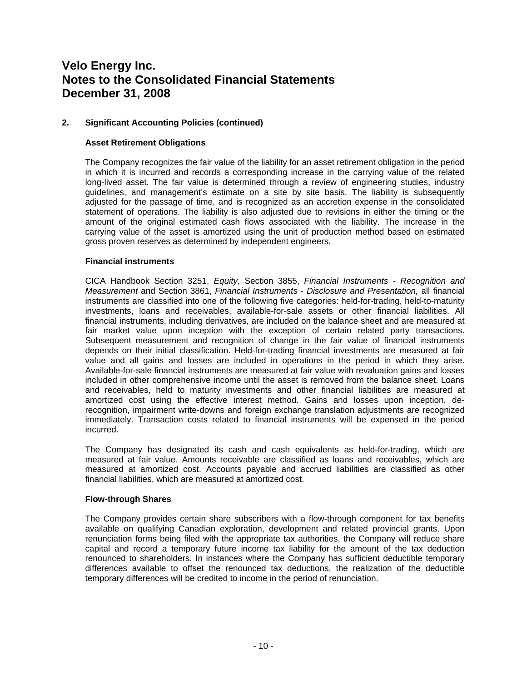# **2. Significant Accounting Policies (continued)**

### **Asset Retirement Obligations**

The Company recognizes the fair value of the liability for an asset retirement obligation in the period in which it is incurred and records a corresponding increase in the carrying value of the related long-lived asset. The fair value is determined through a review of engineering studies, industry guidelines, and management's estimate on a site by site basis. The liability is subsequently adjusted for the passage of time, and is recognized as an accretion expense in the consolidated statement of operations. The liability is also adjusted due to revisions in either the timing or the amount of the original estimated cash flows associated with the liability. The increase in the carrying value of the asset is amortized using the unit of production method based on estimated gross proven reserves as determined by independent engineers.

#### **Financial instruments**

CICA Handbook Section 3251, *Equity*, Section 3855, *Financial Instruments - Recognition and Measurement* and Section 3861, *Financial Instruments - Disclosure and Presentation,* all financial instruments are classified into one of the following five categories: held-for-trading, held-to-maturity investments, loans and receivables, available-for-sale assets or other financial liabilities. All financial instruments, including derivatives, are included on the balance sheet and are measured at fair market value upon inception with the exception of certain related party transactions. Subsequent measurement and recognition of change in the fair value of financial instruments depends on their initial classification. Held-for-trading financial investments are measured at fair value and all gains and losses are included in operations in the period in which they arise. Available-for-sale financial instruments are measured at fair value with revaluation gains and losses included in other comprehensive income until the asset is removed from the balance sheet. Loans and receivables, held to maturity investments and other financial liabilities are measured at amortized cost using the effective interest method. Gains and losses upon inception, derecognition, impairment write-downs and foreign exchange translation adjustments are recognized immediately. Transaction costs related to financial instruments will be expensed in the period incurred.

The Company has designated its cash and cash equivalents as held-for-trading, which are measured at fair value. Amounts receivable are classified as loans and receivables, which are measured at amortized cost. Accounts payable and accrued liabilities are classified as other financial liabilities, which are measured at amortized cost.

#### **Flow-through Shares**

The Company provides certain share subscribers with a flow-through component for tax benefits available on qualifying Canadian exploration, development and related provincial grants. Upon renunciation forms being filed with the appropriate tax authorities, the Company will reduce share capital and record a temporary future income tax liability for the amount of the tax deduction renounced to shareholders. In instances where the Company has sufficient deductible temporary differences available to offset the renounced tax deductions, the realization of the deductible temporary differences will be credited to income in the period of renunciation.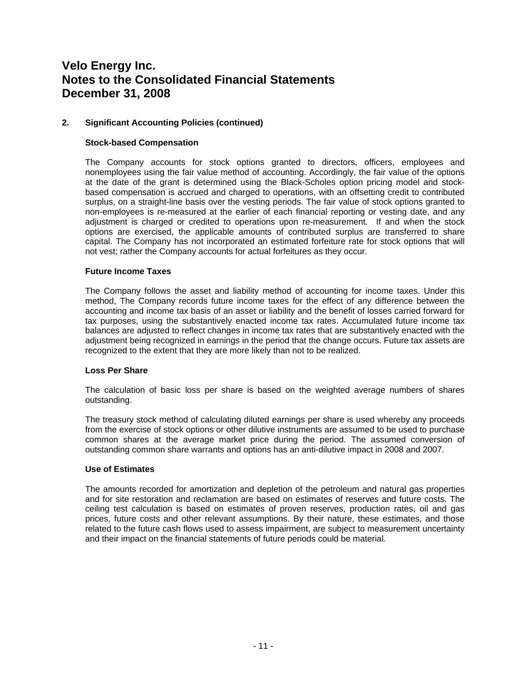# **2. Significant Accounting Policies (continued)**

### **Stock-based Compensation**

The Company accounts for stock options granted to directors, officers, employees and nonemployees using the fair value method of accounting. Accordingly, the fair value of the options at the date of the grant is determined using the Black-Scholes option pricing model and stockbased compensation is accrued and charged to operations, with an offsetting credit to contributed surplus, on a straight-line basis over the vesting periods. The fair value of stock options granted to non-employees is re-measured at the earlier of each financial reporting or vesting date, and any adjustment is charged or credited to operations upon re-measurement. If and when the stock options are exercised, the applicable amounts of contributed surplus are transferred to share capital. The Company has not incorporated an estimated forfeiture rate for stock options that will not vest; rather the Company accounts for actual forfeitures as they occur.

#### **Future Income Taxes**

The Company follows the asset and liability method of accounting for income taxes. Under this method, The Company records future income taxes for the effect of any difference between the accounting and income tax basis of an asset or liability and the benefit of losses carried forward for tax purposes, using the substantively enacted income tax rates. Accumulated future income tax balances are adjusted to reflect changes in income tax rates that are substantively enacted with the adjustment being recognized in earnings in the period that the change occurs. Future tax assets are recognized to the extent that they are more likely than not to be realized.

#### **Loss Per Share**

The calculation of basic loss per share is based on the weighted average numbers of shares outstanding.

The treasury stock method of calculating diluted earnings per share is used whereby any proceeds from the exercise of stock options or other dilutive instruments are assumed to be used to purchase common shares at the average market price during the period. The assumed conversion of outstanding common share warrants and options has an anti-dilutive impact in 2008 and 2007.

#### **Use of Estimates**

The amounts recorded for amortization and depletion of the petroleum and natural gas properties and for site restoration and reclamation are based on estimates of reserves and future costs. The ceiling test calculation is based on estimates of proven reserves, production rates, oil and gas prices, future costs and other relevant assumptions. By their nature, these estimates, and those related to the future cash flows used to assess impairment, are subject to measurement uncertainty and their impact on the financial statements of future periods could be material.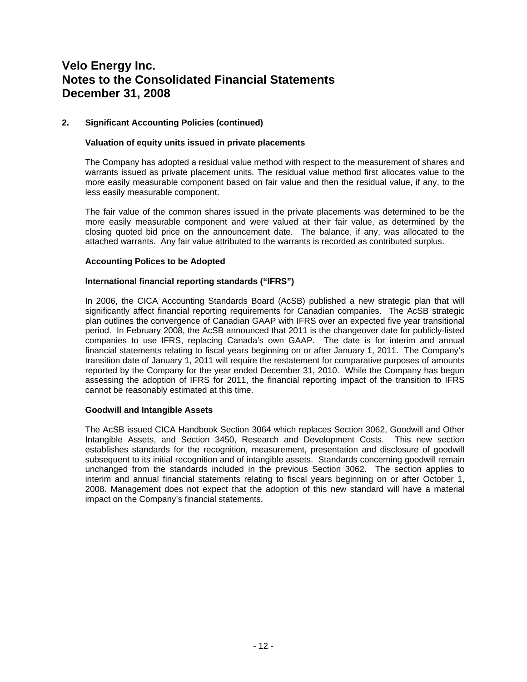# **2. Significant Accounting Policies (continued)**

### **Valuation of equity units issued in private placements**

The Company has adopted a residual value method with respect to the measurement of shares and warrants issued as private placement units. The residual value method first allocates value to the more easily measurable component based on fair value and then the residual value, if any, to the less easily measurable component.

The fair value of the common shares issued in the private placements was determined to be the more easily measurable component and were valued at their fair value, as determined by the closing quoted bid price on the announcement date. The balance, if any, was allocated to the attached warrants. Any fair value attributed to the warrants is recorded as contributed surplus.

#### **Accounting Polices to be Adopted**

#### **International financial reporting standards ("IFRS")**

In 2006, the CICA Accounting Standards Board (AcSB) published a new strategic plan that will significantly affect financial reporting requirements for Canadian companies. The AcSB strategic plan outlines the convergence of Canadian GAAP with IFRS over an expected five year transitional period. In February 2008, the AcSB announced that 2011 is the changeover date for publicly-listed companies to use IFRS, replacing Canada's own GAAP. The date is for interim and annual financial statements relating to fiscal years beginning on or after January 1, 2011. The Company's transition date of January 1, 2011 will require the restatement for comparative purposes of amounts reported by the Company for the year ended December 31, 2010. While the Company has begun assessing the adoption of IFRS for 2011, the financial reporting impact of the transition to IFRS cannot be reasonably estimated at this time.

#### **Goodwill and Intangible Assets**

The AcSB issued CICA Handbook Section 3064 which replaces Section 3062, Goodwill and Other Intangible Assets, and Section 3450, Research and Development Costs. This new section establishes standards for the recognition, measurement, presentation and disclosure of goodwill subsequent to its initial recognition and of intangible assets. Standards concerning goodwill remain unchanged from the standards included in the previous Section 3062. The section applies to interim and annual financial statements relating to fiscal years beginning on or after October 1, 2008. Management does not expect that the adoption of this new standard will have a material impact on the Company's financial statements.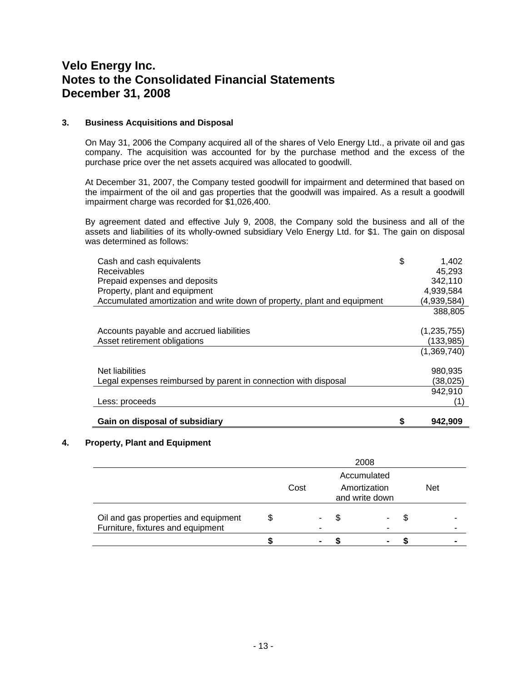#### **3. Business Acquisitions and Disposal**

On May 31, 2006 the Company acquired all of the shares of Velo Energy Ltd., a private oil and gas company. The acquisition was accounted for by the purchase method and the excess of the purchase price over the net assets acquired was allocated to goodwill.

At December 31, 2007, the Company tested goodwill for impairment and determined that based on the impairment of the oil and gas properties that the goodwill was impaired. As a result a goodwill impairment charge was recorded for \$1,026,400.

By agreement dated and effective July 9, 2008, the Company sold the business and all of the assets and liabilities of its wholly-owned subsidiary Velo Energy Ltd. for \$1. The gain on disposal was determined as follows:

| Legal expenses reimbursed by parent in connection with disposal                                                                                                                               | (38,025)<br>942,910                                                     |
|-----------------------------------------------------------------------------------------------------------------------------------------------------------------------------------------------|-------------------------------------------------------------------------|
| Net liabilities                                                                                                                                                                               | (1,369,740)<br>980,935                                                  |
| Accounts payable and accrued liabilities<br>Asset retirement obligations                                                                                                                      | (1, 235, 755)<br>(133,985)                                              |
| Cash and cash equivalents<br><b>Receivables</b><br>Prepaid expenses and deposits<br>Property, plant and equipment<br>Accumulated amortization and write down of property, plant and equipment | \$<br>1,402<br>45.293<br>342,110<br>4,939,584<br>(4,939,584)<br>388,805 |

#### **4. Property, Plant and Equipment**

|                                                                           | 2008 |             |                |                                |    |  |            |  |
|---------------------------------------------------------------------------|------|-------------|----------------|--------------------------------|----|--|------------|--|
|                                                                           |      | Accumulated |                |                                |    |  |            |  |
|                                                                           | Cost |             |                | Amortization<br>and write down |    |  | <b>Net</b> |  |
| Oil and gas properties and equipment<br>Furniture, fixtures and equipment |      |             |                |                                | S. |  |            |  |
|                                                                           |      |             | $\blacksquare$ |                                |    |  |            |  |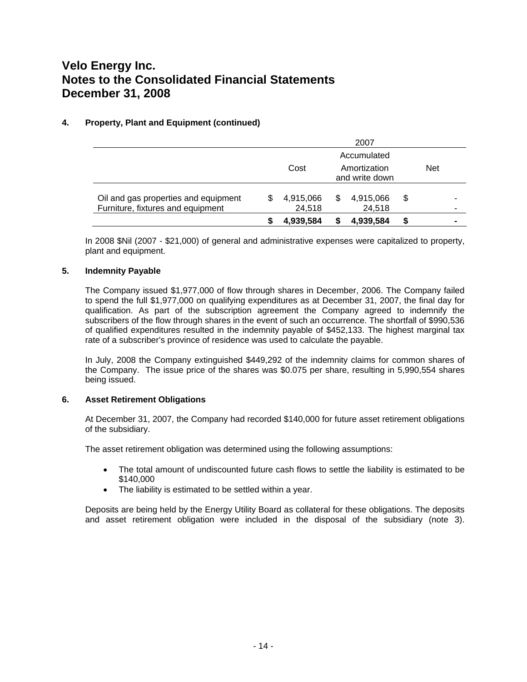# **4. Property, Plant and Equipment (continued)**

|                                                                           |   |                     |                                | 2007                |   |            |                |
|---------------------------------------------------------------------------|---|---------------------|--------------------------------|---------------------|---|------------|----------------|
|                                                                           |   |                     |                                | Accumulated         |   |            |                |
|                                                                           |   | Cost                | Amortization<br>and write down |                     |   | <b>Net</b> |                |
| Oil and gas properties and equipment<br>Furniture, fixtures and equipment | S | 4,915,066<br>24,518 | \$.                            | 4,915,066<br>24,518 | S |            | -<br>۰         |
|                                                                           |   | 4.939.584           |                                | 4,939,584           |   |            | $\blacksquare$ |

In 2008 \$Nil (2007 - \$21,000) of general and administrative expenses were capitalized to property, plant and equipment.

#### **5. Indemnity Payable**

The Company issued \$1,977,000 of flow through shares in December, 2006. The Company failed to spend the full \$1,977,000 on qualifying expenditures as at December 31, 2007, the final day for qualification. As part of the subscription agreement the Company agreed to indemnify the subscribers of the flow through shares in the event of such an occurrence. The shortfall of \$990,536 of qualified expenditures resulted in the indemnity payable of \$452,133. The highest marginal tax rate of a subscriber's province of residence was used to calculate the payable.

In July, 2008 the Company extinguished \$449,292 of the indemnity claims for common shares of the Company. The issue price of the shares was \$0.075 per share, resulting in 5,990,554 shares being issued.

#### **6. Asset Retirement Obligations**

At December 31, 2007, the Company had recorded \$140,000 for future asset retirement obligations of the subsidiary.

The asset retirement obligation was determined using the following assumptions:

- The total amount of undiscounted future cash flows to settle the liability is estimated to be \$140,000
- The liability is estimated to be settled within a year.

Deposits are being held by the Energy Utility Board as collateral for these obligations. The deposits and asset retirement obligation were included in the disposal of the subsidiary (note 3).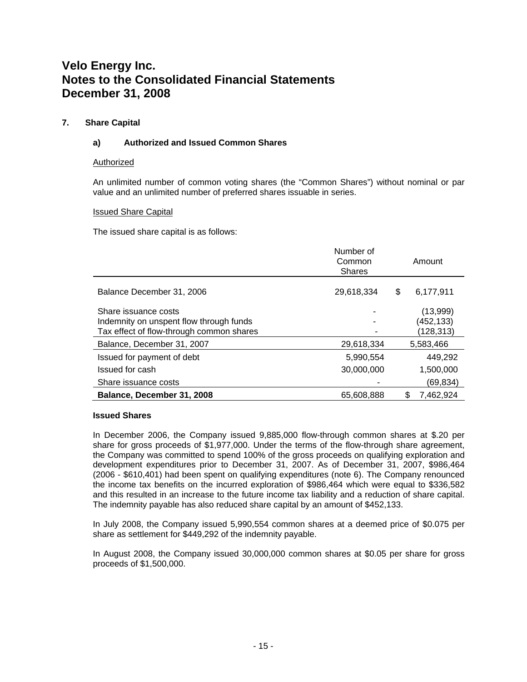# **7. Share Capital**

# **a) Authorized and Issued Common Shares**

#### Authorized

An unlimited number of common voting shares (the "Common Shares") without nominal or par value and an unlimited number of preferred shares issuable in series.

#### Issued Share Capital

The issued share capital is as follows:

|                                                                                                             | Number of<br>Common<br><b>Shares</b> | Amount                              |
|-------------------------------------------------------------------------------------------------------------|--------------------------------------|-------------------------------------|
| Balance December 31, 2006                                                                                   | 29,618,334                           | 6,177,911<br>S                      |
| Share issuance costs<br>Indemnity on unspent flow through funds<br>Tax effect of flow-through common shares |                                      | (13,999)<br>(452, 133)<br>(128,313) |
| Balance, December 31, 2007                                                                                  | 29,618,334                           | 5,583,466                           |
| Issued for payment of debt                                                                                  | 5,990,554                            | 449.292                             |
| Issued for cash                                                                                             | 30,000,000                           | 1,500,000                           |
| Share issuance costs                                                                                        |                                      | (69, 834)                           |
| Balance, December 31, 2008                                                                                  | 65.608.888                           | 7,462,924                           |

#### **Issued Shares**

In December 2006, the Company issued 9,885,000 flow-through common shares at \$.20 per share for gross proceeds of \$1,977,000. Under the terms of the flow-through share agreement, the Company was committed to spend 100% of the gross proceeds on qualifying exploration and development expenditures prior to December 31, 2007. As of December 31, 2007, \$986,464 (2006 - \$610,401) had been spent on qualifying expenditures (note 6). The Company renounced the income tax benefits on the incurred exploration of \$986,464 which were equal to \$336,582 and this resulted in an increase to the future income tax liability and a reduction of share capital. The indemnity payable has also reduced share capital by an amount of \$452,133.

In July 2008, the Company issued 5,990,554 common shares at a deemed price of \$0.075 per share as settlement for \$449,292 of the indemnity payable.

In August 2008, the Company issued 30,000,000 common shares at \$0.05 per share for gross proceeds of \$1,500,000.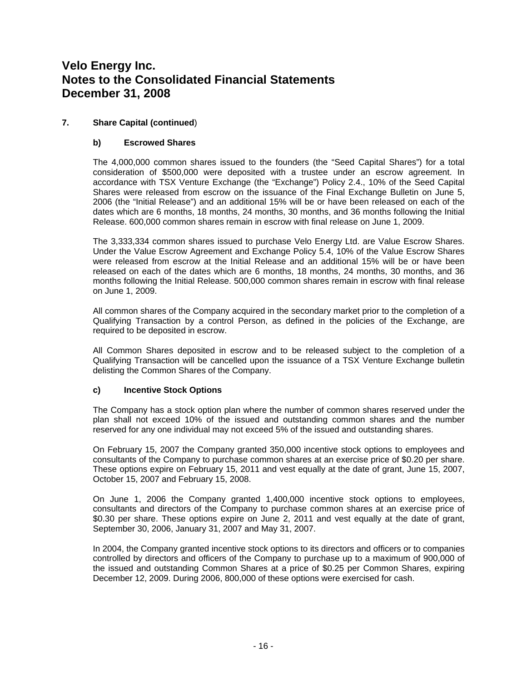# **7. Share Capital (continued**)

# **b) Escrowed Shares**

The 4,000,000 common shares issued to the founders (the "Seed Capital Shares") for a total consideration of \$500,000 were deposited with a trustee under an escrow agreement. In accordance with TSX Venture Exchange (the "Exchange") Policy 2.4., 10% of the Seed Capital Shares were released from escrow on the issuance of the Final Exchange Bulletin on June 5, 2006 (the "Initial Release") and an additional 15% will be or have been released on each of the dates which are 6 months, 18 months, 24 months, 30 months, and 36 months following the Initial Release. 600,000 common shares remain in escrow with final release on June 1, 2009.

The 3,333,334 common shares issued to purchase Velo Energy Ltd. are Value Escrow Shares. Under the Value Escrow Agreement and Exchange Policy 5.4, 10% of the Value Escrow Shares were released from escrow at the Initial Release and an additional 15% will be or have been released on each of the dates which are 6 months, 18 months, 24 months, 30 months, and 36 months following the Initial Release. 500,000 common shares remain in escrow with final release on June 1, 2009.

All common shares of the Company acquired in the secondary market prior to the completion of a Qualifying Transaction by a control Person, as defined in the policies of the Exchange, are required to be deposited in escrow.

All Common Shares deposited in escrow and to be released subject to the completion of a Qualifying Transaction will be cancelled upon the issuance of a TSX Venture Exchange bulletin delisting the Common Shares of the Company.

### **c) Incentive Stock Options**

The Company has a stock option plan where the number of common shares reserved under the plan shall not exceed 10% of the issued and outstanding common shares and the number reserved for any one individual may not exceed 5% of the issued and outstanding shares.

On February 15, 2007 the Company granted 350,000 incentive stock options to employees and consultants of the Company to purchase common shares at an exercise price of \$0.20 per share. These options expire on February 15, 2011 and vest equally at the date of grant, June 15, 2007, October 15, 2007 and February 15, 2008.

On June 1, 2006 the Company granted 1,400,000 incentive stock options to employees, consultants and directors of the Company to purchase common shares at an exercise price of \$0.30 per share. These options expire on June 2, 2011 and vest equally at the date of grant, September 30, 2006, January 31, 2007 and May 31, 2007.

In 2004, the Company granted incentive stock options to its directors and officers or to companies controlled by directors and officers of the Company to purchase up to a maximum of 900,000 of the issued and outstanding Common Shares at a price of \$0.25 per Common Shares, expiring December 12, 2009. During 2006, 800,000 of these options were exercised for cash.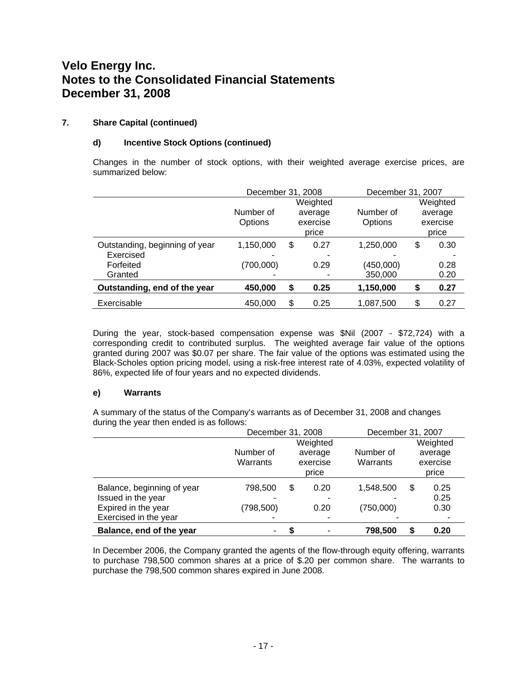# **7. Share Capital (continued)**

# **d) Incentive Stock Options (continued)**

Changes in the number of stock options, with their weighted average exercise prices, are summarized below:

|                                | December 31, 2008 |          |          | December 31, 2007 |    |          |
|--------------------------------|-------------------|----------|----------|-------------------|----|----------|
|                                |                   |          | Weighted |                   |    | Weighted |
|                                | Number of         |          | average  | Number of         |    | average  |
|                                | Options           | exercise |          | Options           |    | exercise |
|                                |                   |          | price    |                   |    | price    |
| Outstanding, beginning of year | 1,150,000         | \$       | 0.27     | 1,250,000         | \$ | 0.30     |
| Exercised                      |                   |          |          |                   |    |          |
| Forfeited                      | (700,000)         |          | 0.29     | (450,000)         |    | 0.28     |
| Granted                        |                   |          |          | 350,000           |    | 0.20     |
| Outstanding, end of the year   | 450,000           | \$       | 0.25     | 1,150,000         | \$ | 0.27     |
| Exercisable                    | 450,000           | \$       | 0.25     | 1,087,500         | \$ | 0.27     |

During the year, stock-based compensation expense was \$Nil (2007 - \$72,724) with a corresponding credit to contributed surplus. The weighted average fair value of the options granted during 2007 was \$0.07 per share. The fair value of the options was estimated using the Black-Scholes option pricing model, using a risk-free interest rate of 4.03%, expected volatility of 86%, expected life of four years and no expected dividends.

### **e) Warrants**

A summary of the status of the Company's warrants as of December 31, 2008 and changes during the year then ended is as follows:

|                            |            | December 31, 2008 |          |           | December 31, 2007 |          |
|----------------------------|------------|-------------------|----------|-----------|-------------------|----------|
|                            |            |                   | Weighted |           |                   | Weighted |
|                            | Number of  |                   | average  | Number of |                   | average  |
|                            | Warrants   | exercise          |          | Warrants  |                   | exercise |
|                            |            |                   | price    |           |                   | price    |
| Balance, beginning of year | 798,500    | \$                | 0.20     | 1,548,500 | \$                | 0.25     |
| Issued in the year         |            |                   |          |           |                   | 0.25     |
| Expired in the year        | (798, 500) |                   | 0.20     | (750,000) |                   | 0.30     |
| Exercised in the year      |            |                   |          |           |                   |          |
| Balance, end of the year   | ۰          |                   |          | 798,500   | \$                | 0.20     |

In December 2006, the Company granted the agents of the flow-through equity offering, warrants to purchase 798,500 common shares at a price of \$.20 per common share. The warrants to purchase the 798,500 common shares expired in June 2008.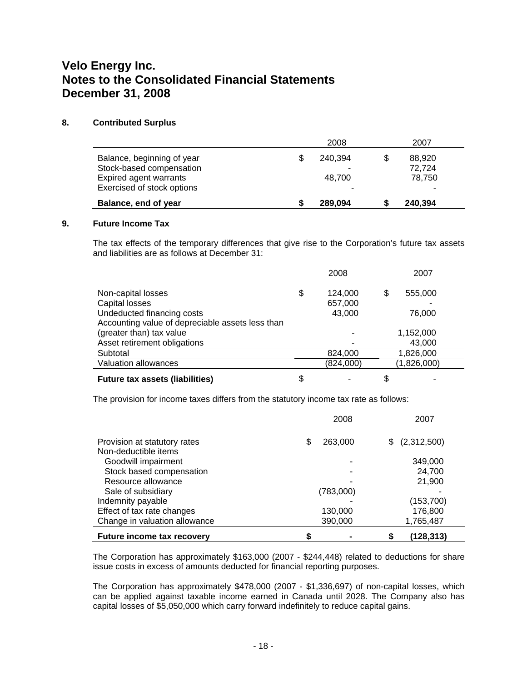#### **8. Contributed Surplus**

|                            | 2008    | 2007    |
|----------------------------|---------|---------|
| Balance, beginning of year | 240.394 | 88,920  |
| Stock-based compensation   |         | 72,724  |
| Expired agent warrants     | 48.700  | 78.750  |
| Exercised of stock options |         |         |
| Balance, end of year       | 289.094 | 240.394 |

#### **9. Future Income Tax**

The tax effects of the temporary differences that give rise to the Corporation's future tax assets and liabilities are as follows at December 31:

|                                                  | 2008          | 2007         |
|--------------------------------------------------|---------------|--------------|
|                                                  |               |              |
| Non-capital losses                               | \$<br>124,000 | 555,000<br>S |
| Capital losses                                   | 657,000       |              |
| Undeducted financing costs                       | 43,000        | 76.000       |
| Accounting value of depreciable assets less than |               |              |
| (greater than) tax value                         |               | 1,152,000    |
| Asset retirement obligations                     |               | 43,000       |
| Subtotal                                         | 824,000       | 1,826,000    |
| <b>Valuation allowances</b>                      | (824,000)     | (1,826,000)  |
| <b>Future tax assets (liabilities)</b>           |               |              |

The provision for income taxes differs from the statutory income tax rate as follows:

|                                   | 2008      | 2007           |
|-----------------------------------|-----------|----------------|
|                                   |           |                |
| Provision at statutory rates      | 263,000   | \$ (2,312,500) |
| Non-deductible items              |           |                |
| Goodwill impairment               |           | 349,000        |
| Stock based compensation          |           | 24,700         |
| Resource allowance                |           | 21,900         |
| Sale of subsidiary                | (783,000) |                |
| Indemnity payable                 |           | (153, 700)     |
| Effect of tax rate changes        | 130,000   | 176,800        |
| Change in valuation allowance     | 390,000   | 1,765,487      |
| <b>Future income tax recovery</b> |           | (128,313)      |

The Corporation has approximately \$163,000 (2007 - \$244,448) related to deductions for share issue costs in excess of amounts deducted for financial reporting purposes.

The Corporation has approximately \$478,000 (2007 - \$1,336,697) of non-capital losses, which can be applied against taxable income earned in Canada until 2028. The Company also has capital losses of \$5,050,000 which carry forward indefinitely to reduce capital gains.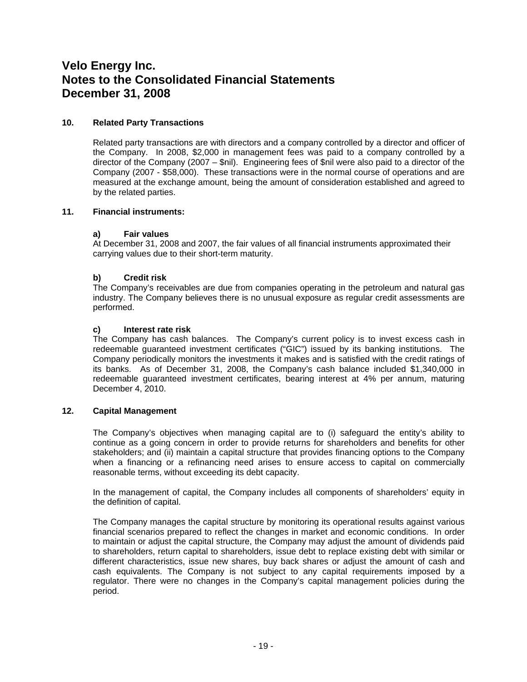### **10. Related Party Transactions**

Related party transactions are with directors and a company controlled by a director and officer of the Company. In 2008, \$2,000 in management fees was paid to a company controlled by a director of the Company (2007 – \$nil). Engineering fees of \$nil were also paid to a director of the Company (2007 - \$58,000). These transactions were in the normal course of operations and are measured at the exchange amount, being the amount of consideration established and agreed to by the related parties.

#### **11. Financial instruments:**

#### **a) Fair values**

At December 31, 2008 and 2007, the fair values of all financial instruments approximated their carrying values due to their short-term maturity.

#### **b) Credit risk**

The Company's receivables are due from companies operating in the petroleum and natural gas industry. The Company believes there is no unusual exposure as regular credit assessments are performed.

#### **c) Interest rate risk**

The Company has cash balances. The Company's current policy is to invest excess cash in redeemable guaranteed investment certificates ("GIC") issued by its banking institutions. The Company periodically monitors the investments it makes and is satisfied with the credit ratings of its banks. As of December 31, 2008, the Company's cash balance included \$1,340,000 in redeemable guaranteed investment certificates, bearing interest at 4% per annum, maturing December 4, 2010.

#### **12. Capital Management**

The Company's objectives when managing capital are to (i) safeguard the entity's ability to continue as a going concern in order to provide returns for shareholders and benefits for other stakeholders; and (ii) maintain a capital structure that provides financing options to the Company when a financing or a refinancing need arises to ensure access to capital on commercially reasonable terms, without exceeding its debt capacity.

In the management of capital, the Company includes all components of shareholders' equity in the definition of capital.

The Company manages the capital structure by monitoring its operational results against various financial scenarios prepared to reflect the changes in market and economic conditions. In order to maintain or adjust the capital structure, the Company may adjust the amount of dividends paid to shareholders, return capital to shareholders, issue debt to replace existing debt with similar or different characteristics, issue new shares, buy back shares or adjust the amount of cash and cash equivalents. The Company is not subject to any capital requirements imposed by a regulator. There were no changes in the Company's capital management policies during the period.